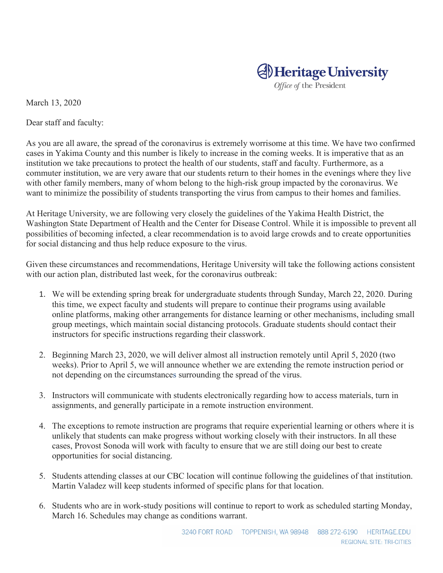## **Al** Heritage University

Office of the President

March 13, 2020

Dear staff and faculty:

As you are all aware, the spread of the coronavirus is extremely worrisome at this time. We have two confirmed cases in Yakima County and this number is likely to increase in the coming weeks. It is imperative that as an institution we take precautions to protect the health of our students, staff and faculty. Furthermore, as a commuter institution, we are very aware that our students return to their homes in the evenings where they live with other family members, many of whom belong to the high-risk group impacted by the coronavirus. We want to minimize the possibility of students transporting the virus from campus to their homes and families.

At Heritage University, we are following very closely the guidelines of the Yakima Health District, the Washington State Department of Health and the Center for Disease Control. While it is impossible to prevent all possibilities of becoming infected, a clear recommendation is to avoid large crowds and to create opportunities for social distancing and thus help reduce exposure to the virus.

Given these circumstances and recommendations, Heritage University will take the following actions consistent with our action plan, distributed last week, for the coronavirus outbreak:

- 1. We will be extending spring break for undergraduate students through Sunday, March 22, 2020. During this time, we expect faculty and students will prepare to continue their programs using available online platforms, making other arrangements for distance learning or other mechanisms, including small group meetings, which maintain social distancing protocols. Graduate students should contact their instructors for specific instructions regarding their classwork.
- 2. Beginning March 23, 2020, we will deliver almost all instruction remotely until April 5, 2020 (two weeks). Prior to April 5, we will announce whether we are extending the remote instruction period or not depending on the circumstances surrounding the spread of the virus.
- 3. Instructors will communicate with students electronically regarding how to access materials, turn in assignments, and generally participate in a remote instruction environment.
- 4. The exceptions to remote instruction are programs that require experiential learning or others where it is unlikely that students can make progress without working closely with their instructors. In all these cases, Provost Sonoda will work with faculty to ensure that we are still doing our best to create opportunities for social distancing.
- 5. Students attending classes at our CBC location will continue following the guidelines of that institution. Martin Valadez will keep students informed of specific plans for that location.
- 6. Students who are in work-study positions will continue to report to work as scheduled starting Monday, March 16. Schedules may change as conditions warrant.